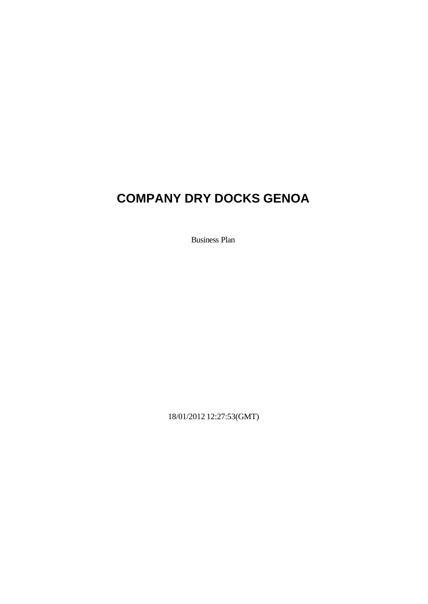# **COMPANY DRY DOCKS GENOA**

Business Plan

18/01/2012 12:27:53(GMT)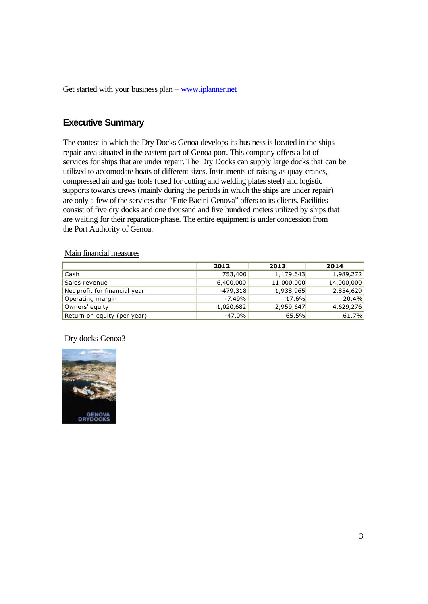Get started with your business plan – www.iplanner.net

# **Executive Summary**

The contest in which the Dry Docks Genoa develops its business is located in the ships repair area situated in the eastern part of Genoa port. This company offers a lot of services for ships that are under repair. The Dry Docks can supply large docks that can be utilized to accomodate boats of different sizes. Instruments of raising as quay-cranes, compressed air and gas tools (used for cutting and welding plates steel) and logistic supports towards crews (mainly during the periods in which the ships are under repair) are only a few of the services that "Ente Bacini Genova" offers to its clients. Facilities consist of five dry docks and one thousand and five hundred meters utilized by ships that are waiting for their reparation-phase. The entire equipment is under concession from the Port Authority of Genoa.

#### Main financial measures

|                               | 2012       | 2013       | 2014       |
|-------------------------------|------------|------------|------------|
| Cash                          | 753,400    | 1,179,643  | 1,989,272  |
| Sales revenue                 | 6,400,000  | 11,000,000 | 14,000,000 |
| Net profit for financial year | $-479,318$ | 1,938,965  | 2,854,629  |
| Operating margin              | -7.49%     | 17.6%      | 20.4%      |
| Owners' equity                | 1,020,682  | 2,959,647  | 4,629,276  |
| Return on equity (per year)   | $-47.0%$   | 65.5%      | 61.7%      |

#### Dry docks Genoa3

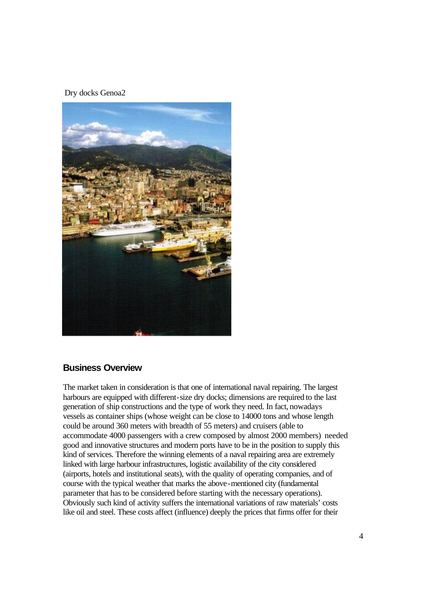Dry docks Genoa2



#### **Business Overview**

The market taken in consideration is that one of international naval repairing. The largest harbours are equipped with different-size dry docks; dimensions are required to the last generation of ship constructions and the type of work they need. In fact, nowadays vessels as container ships (whose weight can be close to 14000 tons and whose length could be around 360 meters with breadth of 55 meters) and cruisers (able to accommodate 4000 passengers with a crew composed by almost 2000 members) needed good and innovative structures and modern ports have to be in the position to supply this kind of services. Therefore the winning elements of a naval repairing area are extremely linked with large harbour infrastructures, logistic availability of the city considered (airports, hotels and institutional seats), with the quality of operating companies, and of course with the typical weather that marks the above-mentioned city (fundamental parameter that has to be considered before starting with the necessary operations). Obviously such kind of activity suffers the international variations of raw materials' costs like oil and steel. These costs affect (influence) deeply the prices that firms offer for their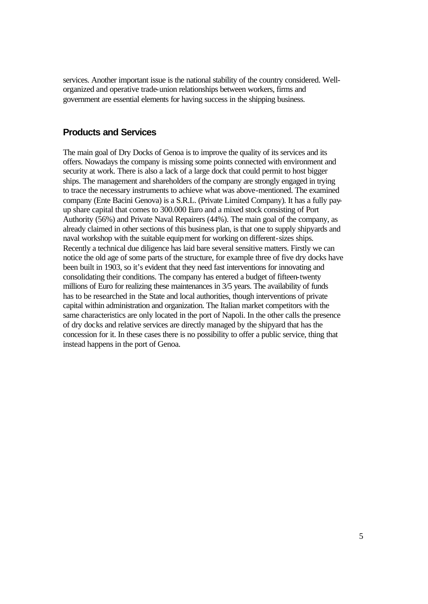services. Another important issue is the national stability of the country considered. Wellorganized and operative trade-union relationships between workers, firms and government are essential elements for having success in the shipping business.

#### **Products and Services**

The main goal of Dry Docks of Genoa is to improve the quality of its services and its offers. Nowadays the company is missing some points connected with environment and security at work. There is also a lack of a large dock that could permit to host bigger ships. The management and shareholders of the company are strongly engaged in trying to trace the necessary instruments to achieve what was above-mentioned. The examined company (Ente Bacini Genova) is a S.R.L. (Private Limited Company). It has a fully payup share capital that comes to 300.000 Euro and a mixed stock consisting of Port Authority (56%) and Private Naval Repairers (44%). The main goal of the company, as already claimed in other sections of this business plan, is that one to supply shipyards and naval workshop with the suitable equipment for working on different-sizes ships. Recently a technical due diligence has laid bare several sensitive matters. Firstly we can notice the old age of some parts of the structure, for example three of five dry docks have been built in 1903, so it's evident that they need fast interventions for innovating and consolidating their conditions. The company has entered a budget of fifteen-twenty millions of Euro for realizing these maintenances in 3/5 years. The availability of funds has to be researched in the State and local authorities, though interventions of private capital within administration and organization. The Italian market competitors with the same characteristics are only located in the port of Napoli. In the other calls the presence of dry docks and relative services are directly managed by the shipyard that has the concession for it. In these cases there is no possibility to offer a public service, thing that instead happens in the port of Genoa.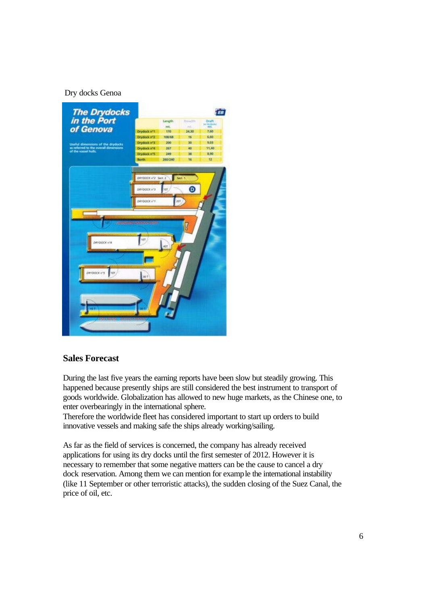#### Dry docks Genoa



#### **Sales Forecast**

During the last five years the earning reports have been slow but steadily growing. This happened because presently ships are still considered the best instrument to transport of goods worldwide. Globalization has allowed to new huge markets, as the Chinese one, to enter overbearingly in the international sphere.

Therefore the worldwide fleet has considered important to start up orders to build innovative vessels and making safe the ships already working/sailing.

As far as the field of services is concerned, the company has already received applications for using its dry docks until the first semester of 2012. However it is necessary to remember that some negative matters can be the cause to cancel a dry dock reservation. Among them we can mention for example the international instability (like 11 September or other terroristic attacks), the sudden closing of the Suez Canal, the price of oil, etc.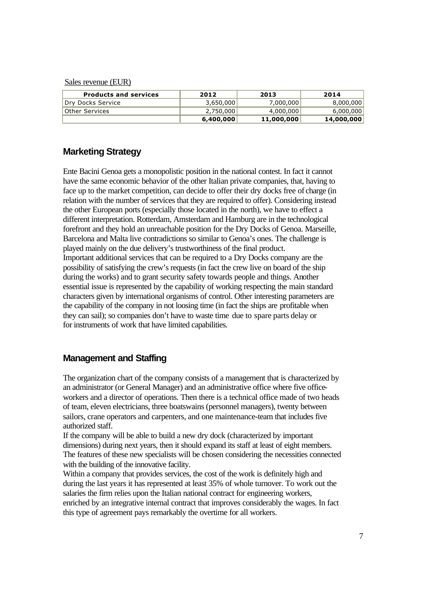#### Sales revenue (EUR)

| <b>Products and services</b> | 2012      | 2013       | 2014       |
|------------------------------|-----------|------------|------------|
| Dry Docks Service            | 3,650,000 | 7,000,000  | 8,000,000  |
| Other Services               | 2,750,000 | 4,000,000  | 6,000,000  |
|                              | 6,400,000 | 11,000,000 | 14,000,000 |

#### **Marketing Strategy**

Ente Bacini Genoa gets a monopolistic position in the national contest. In fact it cannot have the same economic behavior of the other Italian private companies, that, having to face up to the market competition, can decide to offer their dry docks free of charge (in relation with the number of services that they are required to offer). Considering instead the other European ports (especially those located in the north), we have to effect a different interpretation. Rotterdam, Amsterdam and Hamburg are in the technological forefront and they hold an unreachable position for the Dry Docks of Genoa. Marseille, Barcelona and Malta live contradictions so similar to Genoa's ones. The challenge is played mainly on the due delivery's trustworthiness of the final product. Important additional services that can be required to a Dry Docks company are the possibility of satisfying the crew's requests (in fact the crew live on board of the ship during the works) and to grant security safety towards people and things. Another essential issue is represented by the capability of working respecting the main standard characters given by international organisms of control. Other interesting parameters are the capability of the company in not loosing time (in fact the ships are profitable when they can sail); so companies don't have to waste time due to spare parts delay or for instruments of work that have limited capabilities.

#### **Management and Staffing**

The organization chart of the company consists of a management that is characterized by an administrator (or General Manager) and an administrative office where five officeworkers and a director of operations. Then there is a technical office made of two heads of team, eleven electricians, three boatswains (personnel managers), twenty between sailors, crane operators and carpenters, and one maintenance-team that includes five authorized staff.

If the company will be able to build a new dry dock (characterized by important dimensions) during next years, then it should expand its staff at least of eight members. The features of these new specialists will be chosen considering the necessities connected with the building of the innovative facility.

Within a company that provides services, the cost of the work is definitely high and during the last years it has represented at least 35% of whole turnover. To work out the salaries the firm relies upon the Italian national contract for engineering workers, enriched by an integrative internal contract that improves considerably the wages. In fact this type of agreement pays remarkably the overtime for all workers.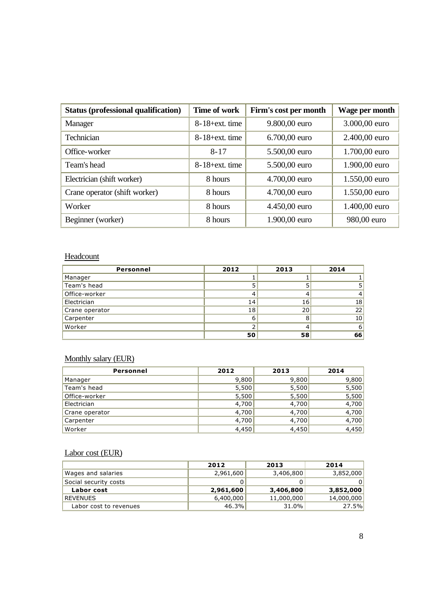| <b>Status (professional qualification)</b> | Time of work       | Firm's cost per month | Wage per month |
|--------------------------------------------|--------------------|-----------------------|----------------|
| Manager                                    | $8-18$ +ext. time  | 9.800,00 euro         | 3.000,00 euro  |
| Technician                                 | $8-18$ +ext. time  | 6.700,00 euro         | 2.400,00 euro  |
| Office-worker                              | $8 - 17$           | 5.500,00 euro         | 1.700,00 euro  |
| Team's head                                | $8-18$ + ext. time | 5.500,00 euro         | 1.900,00 euro  |
| Electrician (shift worker)                 | 8 hours            | 4.700,00 euro         | 1.550,00 euro  |
| Crane operator (shift worker)              | 8 hours            | 4.700,00 euro         | 1.550,00 euro  |
| Worker                                     | 8 hours            | 4.450,00 euro         | 1.400,00 euro  |
| Beginner (worker)                          | 8 hours            | 1.900,00 euro         | 980,00 euro    |

## **Headcount**

| Personnel      | 2012 | 2013 | 2014 |
|----------------|------|------|------|
| Manager        |      |      |      |
| Team's head    |      |      |      |
| Office-worker  |      |      |      |
| Electrician    | 14   | 16   | 18   |
| Crane operator | 18   | 20   | 22   |
| Carpenter      |      |      | 10   |
| Worker         |      |      |      |
|                | 50   | 58   | 66   |

# Monthly salary (EUR)

| Personnel      | 2012  | 2013  | 2014  |
|----------------|-------|-------|-------|
| Manager        | 9,800 | 9,800 | 9,800 |
| Team's head    | 5,500 | 5,500 | 5,500 |
| Office-worker  | 5,500 | 5,500 | 5,500 |
| Electrician    | 4,700 | 4,700 | 4,700 |
| Crane operator | 4,700 | 4,700 | 4,700 |
| Carpenter      | 4,700 | 4,700 | 4,700 |
| Worker         | 4,450 | 4,450 | 4,450 |

# Labor cost (EUR)

|                        | 2012      | 2013       | 2014       |
|------------------------|-----------|------------|------------|
| Wages and salaries     | 2,961,600 | 3,406,800  | 3,852,000  |
| Social security costs  |           |            |            |
| Labor cost             | 2,961,600 | 3,406,800  | 3,852,000  |
| REVENUES               | 6,400,000 | 11,000,000 | 14,000,000 |
| Labor cost to revenues | 46.3%     | 31.0%      | 27.5%      |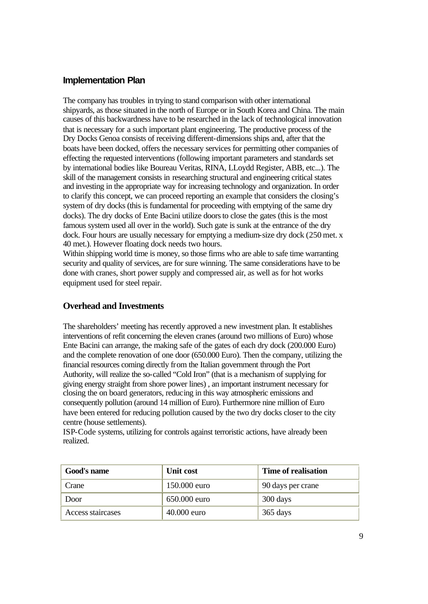#### **Implementation Plan**

The company has troubles in trying to stand comparison with other international shipyards, as those situated in the north of Europe or in South Korea and China. The main causes of this backwardness have to be researched in the lack of technological innovation that is necessary for a such important plant engineering. The productive process of the Dry Docks Genoa consists of receiving different-dimensions ships and, after that the boats have been docked, offers the necessary services for permitting other companies of effecting the requested interventions (following important parameters and standards set by international bodies like Boureau Veritas, RINA, LLoydd Register, ABB, etc...). The skill of the management consists in researching structural and engineering critical states and investing in the appropriate way for increasing technology and organization. In order to clarify this concept, we can proceed reporting an example that considers the closing's system of dry docks (this is fundamental for proceeding with emptying of the same dry docks). The dry docks of Ente Bacini utilize doors to close the gates (this is the most famous system used all over in the world). Such gate is sunk at the entrance of the dry dock. Four hours are usually necessary for emptying a medium-size dry dock (250 met. x 40 met.). However floating dock needs two hours.

Within shipping world time is money, so those firms who are able to safe time warranting security and quality of services, are for sure winning. The same considerations have to be done with cranes, short power supply and compressed air, as well as for hot works equipment used for steel repair.

#### **Overhead and Investments**

The shareholders' meeting has recently approved a new investment plan. It establishes interventions of refit concerning the eleven cranes (around two millions of Euro) whose Ente Bacini can arrange, the making safe of the gates of each dry dock (200.000 Euro) and the complete renovation of one door (650.000 Euro). Then the company, utilizing the financial resources coming directly from the Italian government through the Port Authority, will realize the so-called "Cold Iron" (that is a mechanism of supplying for giving energy straight from shore power lines) , an important instrument necessary for closing the on board generators, reducing in this way atmospheric emissions and consequently pollution (around 14 million of Euro). Furthermore nine million of Euro have been entered for reducing pollution caused by the two dry docks closer to the city centre (house settlements).

ISP-Code systems, utilizing for controls against terroristic actions, have already been realized.

| Good's name       | Unit cost     | <b>Time of realisation</b> |
|-------------------|---------------|----------------------------|
| Crane             | 150.000 euro  | 90 days per crane          |
| Door              | 650.000 euro  | 300 days                   |
| Access staircases | $40.000$ euro | 365 days                   |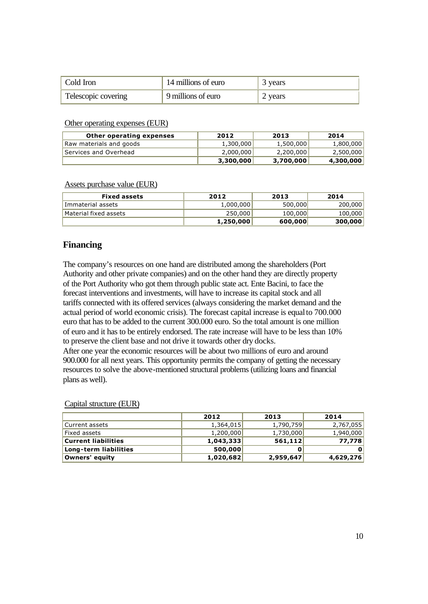| Cold Iron           | 14 millions of euro | 3 years |
|---------------------|---------------------|---------|
| Telescopic covering | 9 millions of euro  | 2 years |

#### Other operating expenses (EUR)

| Other operating expenses | 2012      | 2013      | 2014      |
|--------------------------|-----------|-----------|-----------|
| Raw materials and goods  | 1,300,000 | 1,500,000 | 1,800,000 |
| Services and Overhead    | 2,000,000 | 2,200,000 | 2,500,000 |
|                          | 3,300,000 | 3,700,000 | 4,300,000 |

#### Assets purchase value (EUR)

| <b>Fixed assets</b>   | 2012      | 2013    | 2014    |
|-----------------------|-----------|---------|---------|
| Immaterial assets     | 1,000,000 | 500,000 | 200,000 |
| Material fixed assets | 250,000   | 100,000 | 100,000 |
|                       | 1,250,000 | 600,000 | 300,000 |

#### **Financing**

The company's resources on one hand are distributed among the shareholders (Port Authority and other private companies) and on the other hand they are directly property of the Port Authority who got them through public state act. Ente Bacini, to face the forecast interventions and investments, will have to increase its capital stock and all tariffs connected with its offered services (always considering the market demand and the actual period of world economic crisis). The forecast capital increase is equal to 700.000 euro that has to be added to the current 300.000 euro. So the total amount is one million of euro and it has to be entirely endorsed. The rate increase will have to be less than 10% to preserve the client base and not drive it towards other dry docks.

After one year the economic resources will be about two millions of euro and around 900.000 for all next years. This opportunity permits the company of getting the necessary resources to solve the above-mentioned structural problems (utilizing loans and financial plans as well).

|                            | 2012      | 2013      | 2014         |
|----------------------------|-----------|-----------|--------------|
| Current assets             | 1,364,015 | 1,790,759 | 2,767,055    |
| Fixed assets               | 1,200,000 | 1,730,000 | 1,940,000    |
| <b>Current liabilities</b> | 1,043,333 | 561,112   | 77.778       |
| Long-term liabilities      | 500,000   |           | $\mathbf{0}$ |
| Owners' equity             | 1,020,682 | 2,959,647 | 4,629,276    |

#### Capital structure (EUR)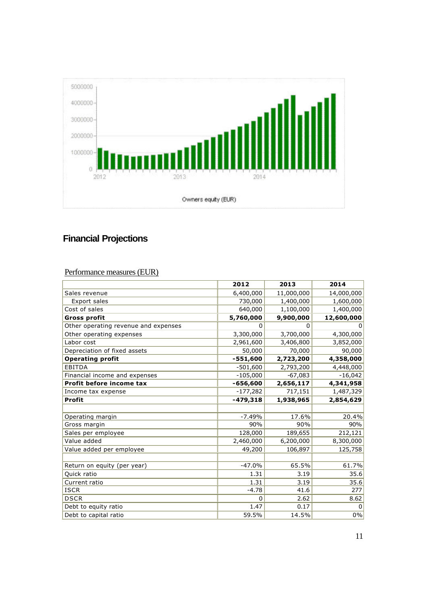

# **Financial Projections**

# Performance measures (EUR)

|                                      | 2012       | 2013       | 2014       |
|--------------------------------------|------------|------------|------------|
| Sales revenue                        | 6,400,000  | 11,000,000 | 14,000,000 |
| Export sales                         | 730,000    | 1,400,000  | 1,600,000  |
| Cost of sales                        | 640,000    | 1,100,000  | 1,400,000  |
| <b>Gross profit</b>                  | 5,760,000  | 9,900,000  | 12,600,000 |
| Other operating revenue and expenses | 0          | 0          | $\Omega$   |
| Other operating expenses             | 3,300,000  | 3,700,000  | 4,300,000  |
| Labor cost                           | 2,961,600  | 3,406,800  | 3,852,000  |
| Depreciation of fixed assets         | 50,000     | 70,000     | 90,000     |
| <b>Operating profit</b>              | $-551,600$ | 2,723,200  | 4,358,000  |
| <b>EBITDA</b>                        | $-501,600$ | 2,793,200  | 4,448,000  |
| Financial income and expenses        | $-105,000$ | $-67,083$  | $-16,042$  |
| Profit before income tax             | -656,600   | 2,656,117  | 4,341,958  |
| Income tax expense                   | $-177,282$ | 717,151    | 1,487,329  |
| <b>Profit</b>                        | $-479,318$ | 1,938,965  | 2,854,629  |
|                                      |            |            |            |
| Operating margin                     | $-7.49%$   | 17.6%      | 20.4%      |
| Gross margin                         | 90%        | 90%        | 90%        |
| Sales per employee                   | 128,000    | 189,655    | 212,121    |
| Value added                          | 2,460,000  | 6,200,000  | 8,300,000  |
| Value added per employee             | 49,200     | 106,897    | 125,758    |
|                                      |            |            |            |
| Return on equity (per year)          | $-47.0%$   | 65.5%      | 61.7%      |
| Quick ratio                          | 1.31       | 3.19       | 35.6       |
| Current ratio                        | 1.31       | 3.19       | 35.6       |
| <b>ISCR</b>                          | $-4.78$    | 41.6       | 277        |
| <b>DSCR</b>                          | 0          | 2.62       | 8.62       |
| Debt to equity ratio                 | 1.47       | 0.17       | 0          |
| Debt to capital ratio                | 59.5%      | 14.5%      | 0%         |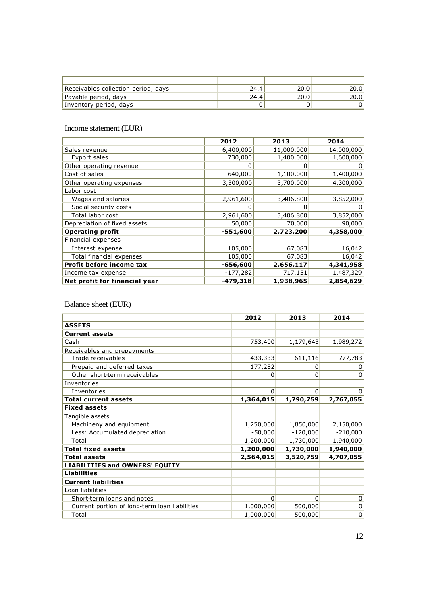| Receivables collection period, days | 24.4 | 20.0 | 20.01 |
|-------------------------------------|------|------|-------|
| Payable period, days                | 24.4 | 20.0 | 20.0  |
| Inventory period, days              |      |      |       |

## Income statement (EUR)

|                               | 2012       | 2013       | 2014       |
|-------------------------------|------------|------------|------------|
| Sales revenue                 | 6,400,000  | 11,000,000 | 14,000,000 |
| Export sales                  | 730,000    | 1,400,000  | 1,600,000  |
| Other operating revenue       | 0          |            |            |
| Cost of sales                 | 640,000    | 1,100,000  | 1,400,000  |
| Other operating expenses      | 3,300,000  | 3,700,000  | 4,300,000  |
| Labor cost                    |            |            |            |
| Wages and salaries            | 2,961,600  | 3,406,800  | 3,852,000  |
| Social security costs         |            |            |            |
| Total labor cost              | 2,961,600  | 3,406,800  | 3,852,000  |
| Depreciation of fixed assets  | 50,000     | 70,000     | 90,000     |
| <b>Operating profit</b>       | $-551,600$ | 2,723,200  | 4,358,000  |
| Financial expenses            |            |            |            |
| Interest expense              | 105,000    | 67,083     | 16,042     |
| Total financial expenses      | 105,000    | 67,083     | 16,042     |
| Profit before income tax      | $-656,600$ | 2,656,117  | 4,341,958  |
| Income tax expense            | $-177,282$ | 717,151    | 1,487,329  |
| Net profit for financial year | $-479,318$ | 1,938,965  | 2,854,629  |

# Balance sheet (EUR)

|                                               | 2012      | 2013       | 2014       |
|-----------------------------------------------|-----------|------------|------------|
| <b>ASSETS</b>                                 |           |            |            |
| <b>Current assets</b>                         |           |            |            |
| Cash                                          | 753,400   | 1,179,643  | 1,989,272  |
| Receivables and prepayments                   |           |            |            |
| Trade receivables                             | 433,333   | 611,116    | 777,783    |
| Prepaid and deferred taxes                    | 177,282   | 0          | 0          |
| Other short-term receivables                  | 0         | 0          | 0          |
| Inventories                                   |           |            |            |
| Inventories                                   | 0         | $\Omega$   | 0          |
| <b>Total current assets</b>                   | 1,364,015 | 1,790,759  | 2,767,055  |
| <b>Fixed assets</b>                           |           |            |            |
| Tangible assets                               |           |            |            |
| Machineny and equipment                       | 1,250,000 | 1,850,000  | 2,150,000  |
| Less: Accumulated depreciation                | $-50,000$ | $-120,000$ | $-210,000$ |
| Total                                         | 1,200,000 | 1,730,000  | 1,940,000  |
| <b>Total fixed assets</b>                     | 1,200,000 | 1,730,000  | 1,940,000  |
| <b>Total assets</b>                           | 2,564,015 | 3,520,759  | 4,707,055  |
| <b>LIABILITIES and OWNERS' EOUITY</b>         |           |            |            |
| <b>Liabilities</b>                            |           |            |            |
| <b>Current liabilities</b>                    |           |            |            |
| Loan liabilities                              |           |            |            |
| Short-term loans and notes                    | 0         | $\Omega$   | 0          |
| Current portion of long-term loan liabilities | 1,000,000 | 500,000    | 0          |
| Total                                         | 1,000,000 | 500,000    | 0          |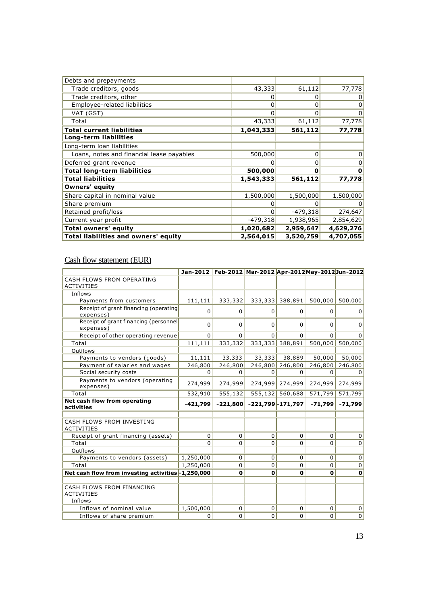| Debts and prepayments                       |                |            |           |
|---------------------------------------------|----------------|------------|-----------|
| Trade creditors, goods                      | 43,333         | 61,112     | 77,778    |
| Trade creditors, other                      | 0              | 0          | 0         |
| Employee-related liabilities                | 0              | 0          | 0         |
| VAT (GST)                                   | 0              | 0          | 0         |
| Total                                       | 43,333         | 61,112     | 77,778    |
| <b>Total current liabilities</b>            | 1,043,333      | 561,112    | 77,778    |
| Long-term liabilities                       |                |            |           |
| Long-term loan liabilities                  |                |            |           |
| Loans, notes and financial lease payables   | 500,000        | 0          | 0         |
| Deferred grant revenue                      | 0              | 0          | 0         |
| <b>Total long-term liabilities</b>          | 500,000        | 0          | 0         |
| <b>Total liabilities</b>                    | 1,543,333      | 561,112    | 77,778    |
| <b>Owners' equity</b>                       |                |            |           |
| Share capital in nominal value              | 1,500,000      | 1,500,000  | 1,500,000 |
| Share premium                               | 0              |            | 0         |
| Retained profit/loss                        | $\overline{0}$ | $-479,318$ | 274,647   |
| Current year profit                         | $-479,318$     | 1,938,965  | 2,854,629 |
| Total owners' equity                        | 1,020,682      | 2,959,647  | 4,629,276 |
| <b>Total liabilities and owners' equity</b> | 2,564,015      | 3,520,759  | 4,707,055 |

## Cash flow statement (EUR)

|                                                    |             | Jan-2012 Feb-2012 Mar-2012 Apr-2012 May-2012 Jun-2012 |             |                      |              |                |
|----------------------------------------------------|-------------|-------------------------------------------------------|-------------|----------------------|--------------|----------------|
| CASH FLOWS FROM OPERATING<br><b>ACTIVITIES</b>     |             |                                                       |             |                      |              |                |
| Inflows                                            |             |                                                       |             |                      |              |                |
| Payments from customers                            | 111,111     | 333,332                                               | 333,333     | 388,891              | 500,000      | 500,000        |
| Receipt of grant financing (operating<br>expenses) | $\mathbf 0$ | $\Omega$                                              | $\Omega$    | $\Omega$             | $\Omega$     | 0              |
| Receipt of grant financing (personnel<br>expenses) | $\mathbf 0$ | $\Omega$                                              | $\Omega$    | $\Omega$             | $\Omega$     | $\overline{0}$ |
| Receipt of other operating revenue                 | $\Omega$    | $\Omega$                                              | $\Omega$    | $\Omega$             | $\Omega$     | $\overline{0}$ |
| Total                                              | 111,111     | 333,332                                               | 333,333     | 388,891              | 500,000      | 500,000        |
| Outflows                                           |             |                                                       |             |                      |              |                |
| Payments to vendors (goods)                        | 11,111      | 33,333                                                | 33,333      | 38,889               | 50,000       | 50,000         |
| Payment of salaries and wages                      | 246,800     | 246,800                                               | 246,800     | 246,800              | 246,800      | 246,800        |
| Social security costs                              | $\Omega$    | $\Omega$                                              | $\Omega$    | $\Omega$             | $\Omega$     | $\Omega$       |
| Payments to vendors (operating<br>expenses)        | 274,999     | 274,999                                               | 274,999     | 274,999              | 274,999      | 274,999        |
| Total                                              | 532,910     | 555,132                                               |             | 555,132 560,688      | 571,799      | 571,799        |
| Net cash flow from operating<br>activities         | -421,799    | $-221,800$                                            |             | $-221,799 - 171,797$ | $-71,799$    | $-71,799$      |
|                                                    |             |                                                       |             |                      |              |                |
| CASH FLOWS FROM INVESTING<br><b>ACTIVITIES</b>     |             |                                                       |             |                      |              |                |
| Receipt of grant financing (assets)                | 0           | 0                                                     | $\mathbf 0$ | $\Omega$             | $\Omega$     | $\overline{0}$ |
| Total                                              | $\mathbf 0$ | 0                                                     | $\mathbf 0$ | $\Omega$             | $\Omega$     | $\overline{0}$ |
| Outflows                                           |             |                                                       |             |                      |              |                |
| Payments to vendors (assets)                       | 1,250,000   | $\Omega$                                              | $\Omega$    | $\Omega$             | $\Omega$     | 0              |
| Total                                              | 1,250,000   | $\Omega$                                              | $\Omega$    | $\Omega$             | $\Omega$     | 0              |
| Net cash flow from investing activities-1,250,000  |             | $\mathbf 0$                                           | $\mathbf 0$ | $\mathbf 0$          | $\mathbf{0}$ | $\mathbf{0}$   |
|                                                    |             |                                                       |             |                      |              |                |
| CASH FLOWS FROM FINANCING<br><b>ACTIVITIES</b>     |             |                                                       |             |                      |              |                |
| Inflows                                            |             |                                                       |             |                      |              |                |
| Inflows of nominal value                           | 1,500,000   | 0                                                     | 0           | $\mathbf 0$          | $\Omega$     | $\overline{0}$ |
| Inflows of share premium                           | $\mathbf 0$ | $\Omega$                                              | $\Omega$    | $\Omega$             | $\Omega$     | $\overline{0}$ |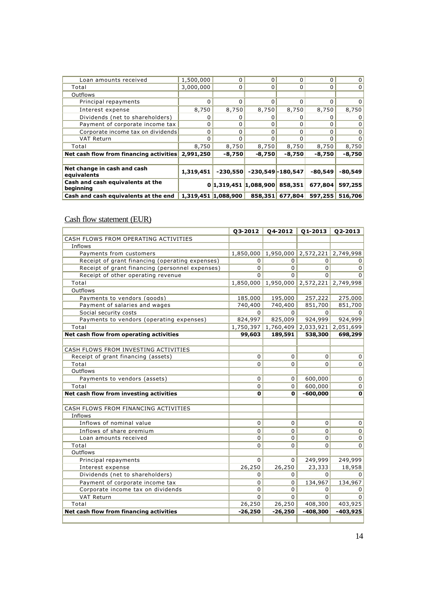| Loan amounts received                             | 1,500,000           | $\Omega$   | $\Omega$              | $\Omega$        | <sup>0</sup> | 0              |
|---------------------------------------------------|---------------------|------------|-----------------------|-----------------|--------------|----------------|
| Total                                             | 3,000,000           | 0          | 0                     | $\Omega$        |              | 0              |
| Outflows                                          |                     |            |                       |                 |              |                |
| Principal repayments                              | 0                   | 0          | O                     | $\Omega$        |              | 0              |
| Interest expense                                  | 8,750               | 8,750      | 8,750                 | 8,750           | 8,750        | 8,750          |
| Dividends (net to shareholders)                   | 0                   | 0          | 0                     | 0               |              | $\overline{0}$ |
| Payment of corporate income tax                   | 0                   | 0          | $\Omega$              | <sup>0</sup>    |              | 0              |
| Corporate income tax on dividends                 | 0                   | 0          | 0                     | $\Omega$        |              | 0              |
| VAT Return                                        | $\Omega$            | $\Omega$   | ŋ                     | <sup>0</sup>    |              | 0              |
| Total                                             | 8,750               | 8,750      | 8,750                 | 8,750           | 8,750        | 8,750          |
| Net cash flow from financing activities 2,991,250 |                     | $-8,750$   | $-8,750$              | $-8,750$        | $-8,750$     | $-8,750$       |
|                                                   |                     |            |                       |                 |              |                |
| Net change in cash and cash<br>equivalents        | 1,319,451           | $-230,550$ | $-230,549 - 180,547$  |                 | $-80,549$    | $-80,549$      |
| Cash and cash equivalents at the<br>beginning     |                     |            | 0 1,319,451 1,088,900 | 858,351         | 677,804      | 597,255        |
| Cash and cash equivalents at the end              | 1,319,451 1,088,900 |            |                       | 858,351 677,804 | 597,255      | 516,706        |

# Cash flow statement (EUR)

|                                                 | 03-2012   | 04-2012                                 | $Q1-2013$                     | 02-2013     |
|-------------------------------------------------|-----------|-----------------------------------------|-------------------------------|-------------|
| CASH FLOWS FROM OPERATING ACTIVITIES            |           |                                         |                               |             |
| Inflows                                         |           |                                         |                               |             |
| Payments from customers                         | 1,850,000 |                                         | 1,950,000 2,572,221 2,749,998 |             |
| Receipt of grant financing (operating expenses) | 0         | 0                                       | $\Omega$                      | 0           |
| Receipt of grant financing (personnel expenses) | $\Omega$  | 0                                       | $\overline{0}$                | $\Omega$    |
| Receipt of other operating revenue              | $\Omega$  | 0                                       | $\Omega$                      | $\Omega$    |
| Total                                           |           | 1,850,000 1,950,000 2,572,221 2,749,998 |                               |             |
| Outflows                                        |           |                                         |                               |             |
| Payments to vendors (goods)                     | 185,000   | 195,000                                 | 257,222                       | 275,000     |
| Payment of salaries and wages                   | 740,400   | 740,400                                 | 851,700                       | 851,700     |
| Social security costs                           | $\Omega$  | $\Omega$                                | $\overline{0}$                | $\Omega$    |
| Payments to vendors (operating expenses)        | 824,997   | 825,009                                 | 924,999                       | 924,999     |
| Total                                           |           | 1,750,397 1,760,409 2,033,921 2,051,699 |                               |             |
| Net cash flow from operating activities         | 99,603    | 189,591                                 | 538,300                       | 698,299     |
|                                                 |           |                                         |                               |             |
| CASH FLOWS FROM INVESTING ACTIVITIES            |           |                                         |                               |             |
| Receipt of grant financing (assets)             | 0         | 0                                       | $\mathbf 0$                   | 0           |
| Total                                           | 0         | 0                                       | $\Omega$                      | $\Omega$    |
| Outflows                                        |           |                                         |                               |             |
| Payments to vendors (assets)                    | 0         | 0                                       | 600,000                       | $\mathbf 0$ |
| Total                                           | $\Omega$  | 0                                       | 600,000                       | $\mathbf 0$ |
| Net cash flow from investing activities         | 0         | 0                                       | $-600,000$                    | $\mathbf 0$ |
|                                                 |           |                                         |                               |             |
| CASH FLOWS FROM FINANCING ACTIVITIES            |           |                                         |                               |             |
| Inflows                                         |           |                                         |                               |             |
| Inflows of nominal value                        | 0         | 0                                       | 0                             | $\mathbf 0$ |
| Inflows of share premium                        | 0         | 0                                       | $\overline{0}$                | 0           |
| Loan amounts received                           | 0         | 0                                       | $\overline{0}$                | $\mathbf 0$ |
| Total                                           | 0         | 0                                       | $\Omega$                      | 0           |
| Outflows                                        |           |                                         |                               |             |
| Principal repayments                            | $\Omega$  | 0                                       | 249,999                       | 249,999     |
| Interest expense                                | 26,250    | 26,250                                  | 23,333                        | 18,958      |
| Dividends (net to shareholders)                 | $\Omega$  | 0                                       | $\Omega$                      | $\Omega$    |
| Payment of corporate income tax                 | 0         | 0                                       | 134,967                       | 134,967     |
| Corporate income tax on dividends               | $\Omega$  | 0                                       | $\Omega$                      | $\Omega$    |
| <b>VAT Return</b>                               | $\Omega$  | 0                                       | $\Omega$                      | $\Omega$    |
| Total                                           | 26,250    | 26,250                                  | 408,300                       | 403,925     |
| Net cash flow from financing activities         | $-26,250$ | $-26,250$                               | $-408,300$                    | $-403,925$  |
|                                                 |           |                                         |                               |             |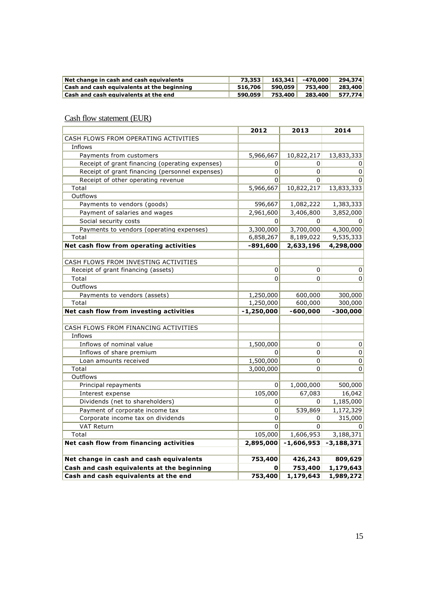| Net change in cash and cash equivalents           | 73,353  | $163.341$ -470.000              | 294,374 |
|---------------------------------------------------|---------|---------------------------------|---------|
| <b>Cash and cash equivalents at the beginning</b> |         | 516,706 590,059 753,400 283,400 |         |
| <b>Cash and cash equivalents at the end</b>       | 590.059 |                                 |         |

|                                                 | 2012           | 2013         | 2014         |
|-------------------------------------------------|----------------|--------------|--------------|
| CASH FLOWS FROM OPERATING ACTIVITIES            |                |              |              |
| Inflows                                         |                |              |              |
| Payments from customers                         | 5,966,667      | 10,822,217   | 13,833,333   |
| Receipt of grant financing (operating expenses) | $\Omega$       | 0            | 0            |
| Receipt of grant financing (personnel expenses) | $\overline{0}$ | 0            | 0            |
| Receipt of other operating revenue              | $\Omega$       | 0            | $\Omega$     |
| Total                                           | 5,966,667      | 10,822,217   | 13,833,333   |
| Outflows                                        |                |              |              |
| Payments to vendors (goods)                     | 596,667        | 1,082,222    | 1,383,333    |
| Payment of salaries and wages                   | 2,961,600      | 3,406,800    | 3,852,000    |
| Social security costs                           | $\overline{0}$ | 0            | $\Omega$     |
| Payments to vendors (operating expenses)        | 3,300,000      | 3,700,000    | 4,300,000    |
| Total                                           | 6,858,267      | 8,189,022    | 9,535,333    |
| Net cash flow from operating activities         | $-891,600$     | 2,633,196    | 4,298,000    |
|                                                 |                |              |              |
| CASH FLOWS FROM INVESTING ACTIVITIES            |                |              |              |
| Receipt of grant financing (assets)             | 0              | 0            | 0            |
| Total                                           | $\Omega$       | 0            | $\Omega$     |
| Outflows                                        |                |              |              |
| Payments to vendors (assets)                    | 1,250,000      | 600,000      | 300,000      |
| Total                                           | 1,250,000      | 600,000      | 300,000      |
| Net cash flow from investing activities         | $-1,250,000$   | $-600,000$   | $-300,000$   |
|                                                 |                |              |              |
| CASH FLOWS FROM FINANCING ACTIVITIES            |                |              |              |
| Inflows                                         |                |              |              |
| Inflows of nominal value                        | 1,500,000      | 0            | 0            |
| Inflows of share premium                        | $\Omega$       | 0            | $\pmb{0}$    |
| Loan amounts received                           | 1,500,000      | 0            | $\pmb{0}$    |
| Total                                           | 3,000,000      | 0            | 0            |
| Outflows                                        |                |              |              |
| Principal repayments                            | $\overline{0}$ | 1,000,000    | 500,000      |
| Interest expense                                | 105,000        | 67,083       | 16,042       |
| Dividends (net to shareholders)                 | 0              | 0            | 1,185,000    |
| Payment of corporate income tax                 | 0              | 539,869      | 1,172,329    |
| Corporate income tax on dividends               | $\Omega$       | 0            | 315,000      |
| VAT Return                                      | $\Omega$       | 0            |              |
| Total                                           | 105,000        | 1,606,953    | 3,188,371    |
| Net cash flow from financing activities         | 2,895,000      | $-1,606,953$ | $-3,188,371$ |
|                                                 |                |              |              |
| Net change in cash and cash equivalents         | 753,400        | 426,243      | 809,629      |
| Cash and cash equivalents at the beginning      | 0              | 753,400      | 1,179,643    |
| Cash and cash equivalents at the end            | 753,400        | 1,179,643    | 1,989,272    |

# Cash flow statement (EUR)